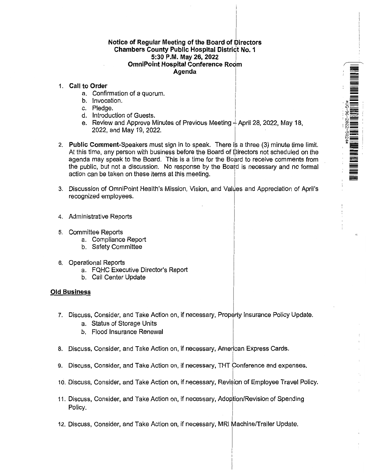# Notice of Regular Meeting of the Board of Directors **Chambers County Public Hospital District No.1 5:30P.M. May 26, 2022** I **OmniPoint Hospital Conference Room Agenda** I

 $\sqrt{2}$ 

=<br>=<br>=

--

- 1. **Call to Order** <sup>I</sup>
	- a. Confirmation of a quorum.
	- b. Invocation.
	- c. Pledge.
	- d. Introduction of Guests.
	- e. Review and Approve Minutes of Previous Meeting  $\frac{1}{2}$  April 28, 2022, May 18, 2022, and May 19, 2022.
- 2. **Public Comment-**Speakers must sign in to speak. There is a three (3) minute time limit. At this time, any person with business before the Board of Directors not scheduled on the agenda may speak to the Board. This is a time for the Board to receive comments from the public, but not a discussion. No response by the Board is necessary and no formal action can be taken on these items at this meeting.
- 3. Discussion of OmniPoint Health's Mission, Vision, and Values and Appreciation of April's recognized employees.
- 4. Administrative Reports
- 5. Committee Reports
	- a. Compliance Report
	- b. Safety Committee
- 6. Operational Reports
	- a. FQHC Executive Director's Report
	- b. Call Center Update

# **Old Business**

- 7. Discuss, Consider, and Take Action on, if necessary, Property Insurance Policy Update.
	- a. Status of Storage Units
	- b. Flood Insurance Renewal
- I 8. Discuss, Consider, and Take Action on, 'if necessary, American Express Cards.
- . I 9. Discuss, Consider, and Take Action on, if necessary, **THT** Conference and expenses.
- 10. Discuss, Consider, and Take Action on, if necessary, Revision of Employee Travel Policy.
- 11. Discuss, Consider, and Take Action on, if necessary, Adoption/Revision of Spending Policy.
- 12. Discuss, Consider, and Take Action on, if necessary, MRI Machine/Trailer Update.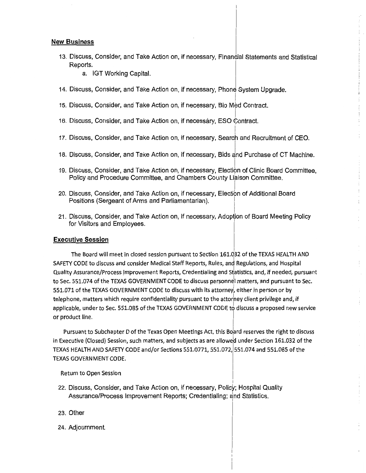# **New Business**

- 13. Discuss, Consider, and Take Action on, if necessary, Financial Statements and Statistical ~~~- I
	- a. IGT Working Capital.
- 14. Discuss, Consider, and Take Action on, if necessary, Phone System Upgrade.
- I 15. Discuss, Consider, and Take Action on, if necessary, Bio Med Contract.
- |<br>16. Discuss, Consider, and Take Action on, if necessåry, ESO Contract.
- 17. Discuss, Consider, and Take Action on, if necessary, Search and Recruitment of CEO.
- 18. Discuss, Consider, and Take Action on, if necessary, Bids and Purchase of CT Machine.
- 19. Discuss, Consider, and Take Action on, if necessary, Election of Clinic Board Committee, Policy and Procedure Committee, and Chambers County Liaison Committee.
- 20. Discuss, Consider, and Take Action on, if necessary, Election of Additional Board Positions (Sergeant of Arms and Parliamentarian).
- 21. Discuss, Consider, and Take Action on, if necessary, Adoption of Board Meeting Policy for Visitors and Employees.

# **Executive Session**

The Board will meet in closed session pursuant to Section 161.032 of the TEXAS HEALTH AND SAFETY CODE to discuss and consider Medical Staff Reports, Rules, and Regulations, and Hospital Quality Assurance/Process Improvement Reports, Credentialing and Statistics, and, if needed, pursuant to Sec. 551.074 of the TEXAS GOVERNMENT CODE to discuss personnel matters, and pursuant to Sec. 551.071 of the TEXAS GOVERNMENT CODE to discuss with its attorney, either in person or by telephone, matters which require confidentiality pursuant to the attorney client privilege and, if applicable, under to Sec. 551.085 of the TEXAS GOVERNMENT CODE to discuss a proposed new service or product line.

 $\frac{1}{2}$ 

Pursuant to Subchapter D of the Texas Open Meetings Act, this Board reserves the right to discuss in Executive (Closed) Session, such matters, and subjects as are allowed under Section 161.032 of the TEXAS HEALTH AND SAFETY CODE and/or Sections 551.0771, 551.072, 551.074 and 551.085 of the TEXAS GOVERNMENT CODE.

# Return to Open session

- I 22. Discuss, Consider, and Take Action on, if necessary, Policy; Hospital Quality Assurance/Process Improvement Reports; Credentialing; and Statistics.
- 23. Other
- 24. Adjournment.